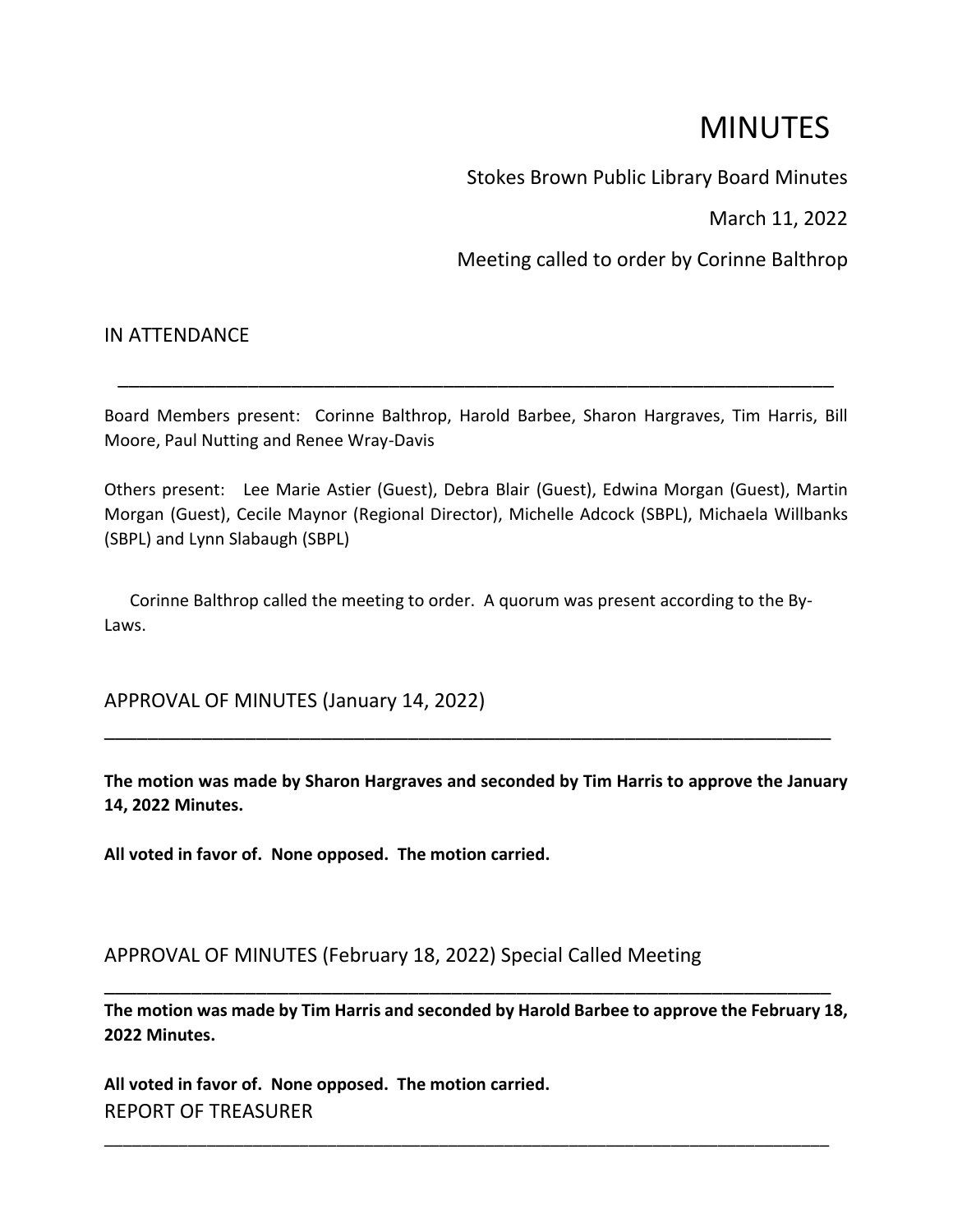# MINUTES

Stokes Brown Public Library Board Minutes

March 11, 2022

Meeting called to order by Corinne Balthrop

# IN ATTENDANCE

Board Members present: Corinne Balthrop, Harold Barbee, Sharon Hargraves, Tim Harris, Bill Moore, Paul Nutting and Renee Wray-Davis

\_\_\_\_\_\_\_\_\_\_\_\_\_\_\_\_\_\_\_\_\_\_\_\_\_\_\_\_\_\_\_\_\_\_\_\_\_\_\_\_\_\_\_\_\_\_\_\_\_\_\_\_\_\_\_\_\_\_\_\_\_\_\_\_\_\_

Others present: Lee Marie Astier (Guest), Debra Blair (Guest), Edwina Morgan (Guest), Martin Morgan (Guest), Cecile Maynor (Regional Director), Michelle Adcock (SBPL), Michaela Willbanks (SBPL) and Lynn Slabaugh (SBPL)

 Corinne Balthrop called the meeting to order. A quorum was present according to the By-Laws.

APPROVAL OF MINUTES (January 14, 2022)

**The motion was made by Sharon Hargraves and seconded by Tim Harris to approve the January 14, 2022 Minutes.**

\_\_\_\_\_\_\_\_\_\_\_\_\_\_\_\_\_\_\_\_\_\_\_\_\_\_\_\_\_\_\_\_\_\_\_\_\_\_\_\_\_\_\_\_\_\_\_\_\_\_\_\_\_\_\_\_\_\_\_\_\_\_\_\_\_\_\_

**All voted in favor of. None opposed. The motion carried.**

APPROVAL OF MINUTES (February 18, 2022) Special Called Meeting

**The motion was made by Tim Harris and seconded by Harold Barbee to approve the February 18, 2022 Minutes.**

\_\_\_\_\_\_\_\_\_\_\_\_\_\_\_\_\_\_\_\_\_\_\_\_\_\_\_\_\_\_\_\_\_\_\_\_\_\_\_\_\_\_\_\_\_\_\_\_\_\_\_\_\_\_\_\_\_\_\_\_\_\_\_\_\_\_\_\_\_\_\_\_\_\_\_\_\_\_

\_\_\_\_\_\_\_\_\_\_\_\_\_\_\_\_\_\_\_\_\_\_\_\_\_\_\_\_\_\_\_\_\_\_\_\_\_\_\_\_\_\_\_\_\_\_\_\_\_\_\_\_\_\_\_\_\_\_\_\_\_\_\_\_\_\_\_

**All voted in favor of. None opposed. The motion carried.** REPORT OF TREASURER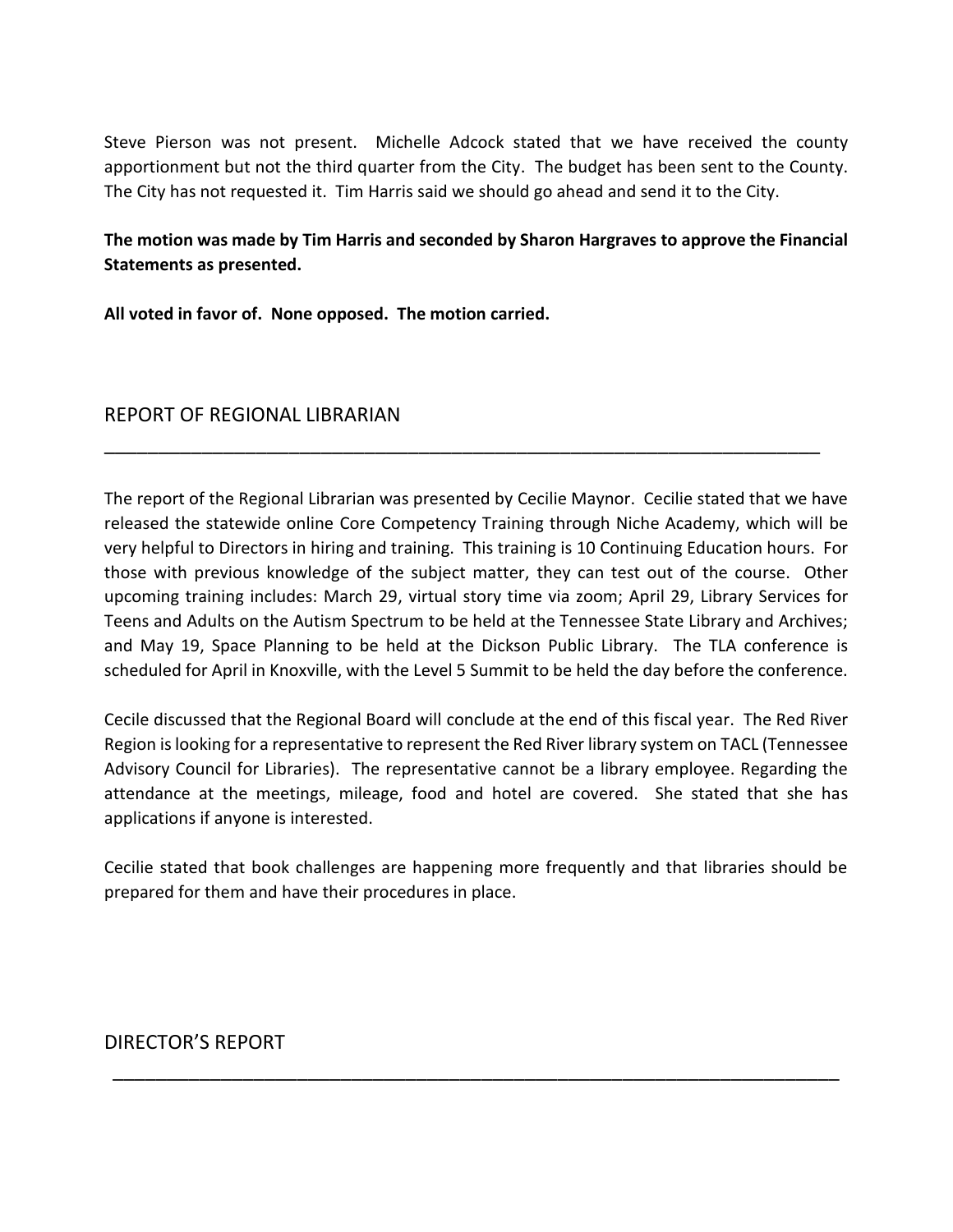Steve Pierson was not present. Michelle Adcock stated that we have received the county apportionment but not the third quarter from the City. The budget has been sent to the County. The City has not requested it. Tim Harris said we should go ahead and send it to the City.

**The motion was made by Tim Harris and seconded by Sharon Hargraves to approve the Financial Statements as presented.**

**All voted in favor of. None opposed. The motion carried.**

## REPORT OF REGIONAL LIBRARIAN

The report of the Regional Librarian was presented by Cecilie Maynor. Cecilie stated that we have released the statewide online Core Competency Training through Niche Academy, which will be very helpful to Directors in hiring and training. This training is 10 Continuing Education hours. For those with previous knowledge of the subject matter, they can test out of the course. Other upcoming training includes: March 29, virtual story time via zoom; April 29, Library Services for Teens and Adults on the Autism Spectrum to be held at the Tennessee State Library and Archives; and May 19, Space Planning to be held at the Dickson Public Library. The TLA conference is scheduled for April in Knoxville, with the Level 5 Summit to be held the day before the conference.

\_\_\_\_\_\_\_\_\_\_\_\_\_\_\_\_\_\_\_\_\_\_\_\_\_\_\_\_\_\_\_\_\_\_\_\_\_\_\_\_\_\_\_\_\_\_\_\_\_\_\_\_\_\_\_\_\_\_\_\_\_\_\_\_\_\_

Cecile discussed that the Regional Board will conclude at the end of this fiscal year. The Red River Region is looking for a representative to represent the Red River library system on TACL (Tennessee Advisory Council for Libraries). The representative cannot be a library employee. Regarding the attendance at the meetings, mileage, food and hotel are covered. She stated that she has applications if anyone is interested.

Cecilie stated that book challenges are happening more frequently and that libraries should be prepared for them and have their procedures in place.

\_\_\_\_\_\_\_\_\_\_\_\_\_\_\_\_\_\_\_\_\_\_\_\_\_\_\_\_\_\_\_\_\_\_\_\_\_\_\_\_\_\_\_\_\_\_\_\_\_\_\_\_\_\_\_\_\_\_\_\_\_\_\_\_\_\_\_

# DIRECTOR'S REPORT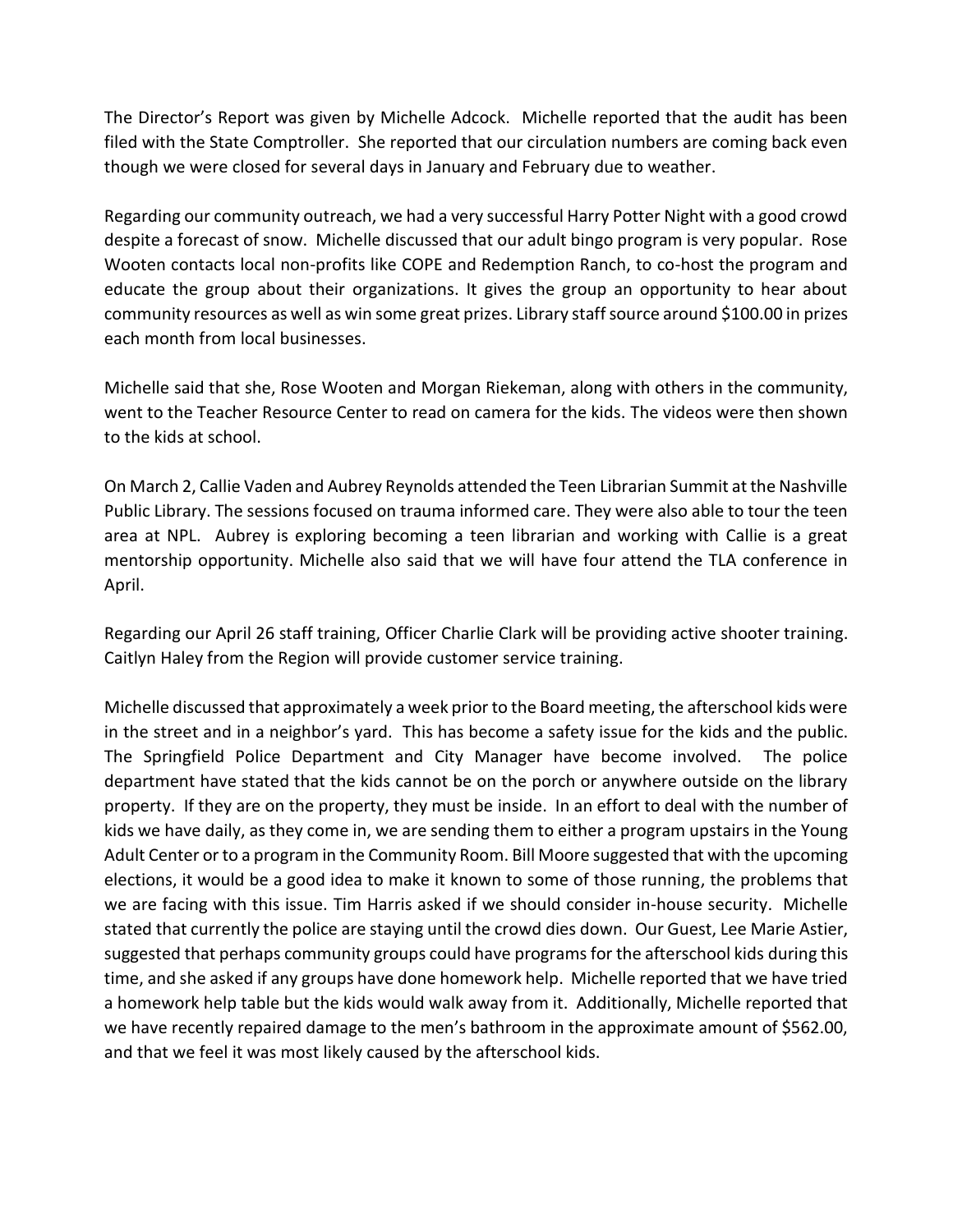The Director's Report was given by Michelle Adcock. Michelle reported that the audit has been filed with the State Comptroller. She reported that our circulation numbers are coming back even though we were closed for several days in January and February due to weather.

Regarding our community outreach, we had a very successful Harry Potter Night with a good crowd despite a forecast of snow. Michelle discussed that our adult bingo program is very popular. Rose Wooten contacts local non-profits like COPE and Redemption Ranch, to co-host the program and educate the group about their organizations. It gives the group an opportunity to hear about community resources as well as win some great prizes. Library staff source around \$100.00 in prizes each month from local businesses.

Michelle said that she, Rose Wooten and Morgan Riekeman, along with others in the community, went to the Teacher Resource Center to read on camera for the kids. The videos were then shown to the kids at school.

On March 2, Callie Vaden and Aubrey Reynolds attended the Teen Librarian Summit at the Nashville Public Library. The sessions focused on trauma informed care. They were also able to tour the teen area at NPL. Aubrey is exploring becoming a teen librarian and working with Callie is a great mentorship opportunity. Michelle also said that we will have four attend the TLA conference in April.

Regarding our April 26 staff training, Officer Charlie Clark will be providing active shooter training. Caitlyn Haley from the Region will provide customer service training.

Michelle discussed that approximately a week prior to the Board meeting, the afterschool kids were in the street and in a neighbor's yard. This has become a safety issue for the kids and the public. The Springfield Police Department and City Manager have become involved. The police department have stated that the kids cannot be on the porch or anywhere outside on the library property. If they are on the property, they must be inside. In an effort to deal with the number of kids we have daily, as they come in, we are sending them to either a program upstairs in the Young Adult Center or to a program in the Community Room. Bill Moore suggested that with the upcoming elections, it would be a good idea to make it known to some of those running, the problems that we are facing with this issue. Tim Harris asked if we should consider in-house security. Michelle stated that currently the police are staying until the crowd dies down. Our Guest, Lee Marie Astier, suggested that perhaps community groups could have programs for the afterschool kids during this time, and she asked if any groups have done homework help. Michelle reported that we have tried a homework help table but the kids would walk away from it. Additionally, Michelle reported that we have recently repaired damage to the men's bathroom in the approximate amount of \$562.00, and that we feel it was most likely caused by the afterschool kids.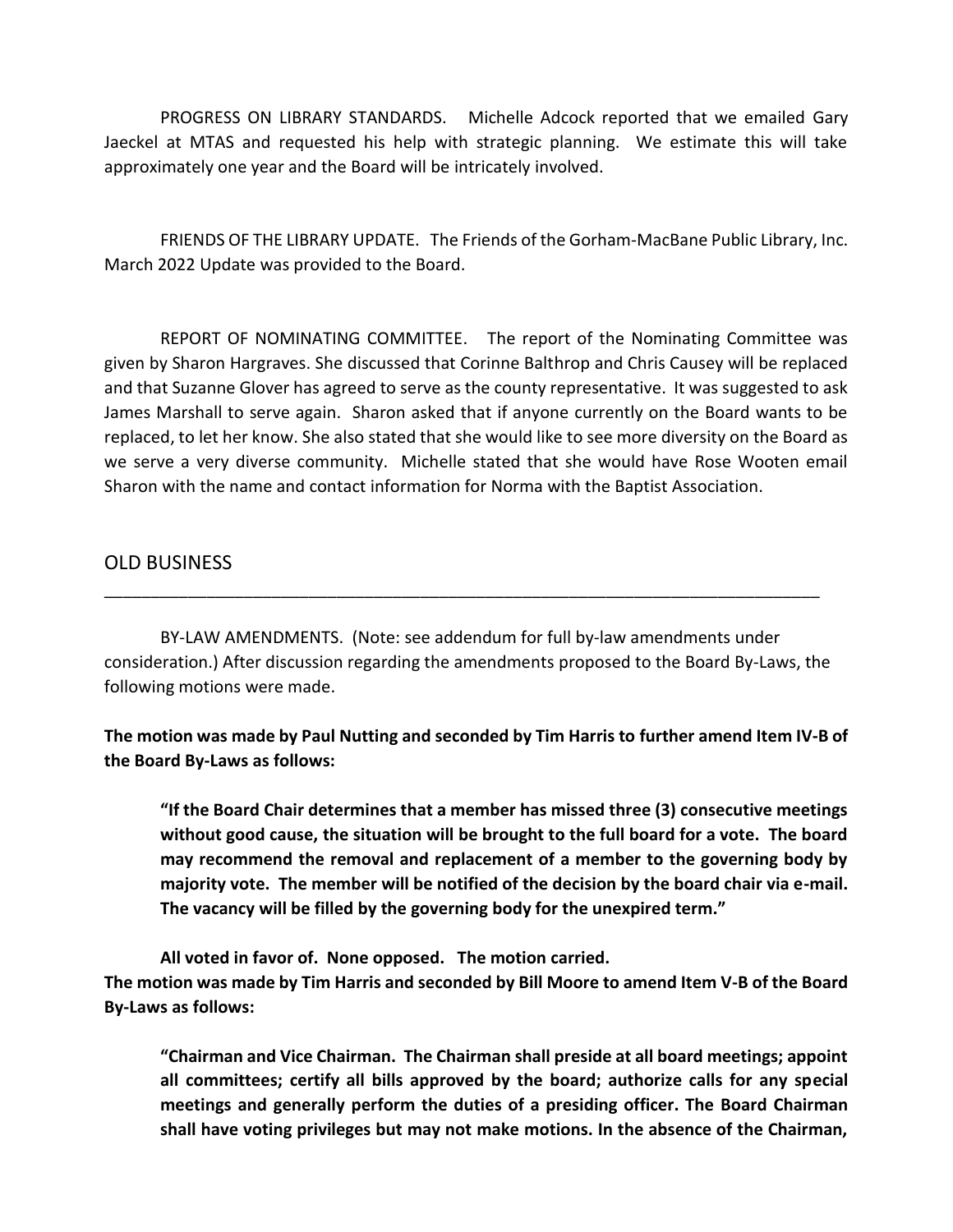PROGRESS ON LIBRARY STANDARDS. Michelle Adcock reported that we emailed Gary Jaeckel at MTAS and requested his help with strategic planning. We estimate this will take approximately one year and the Board will be intricately involved.

FRIENDS OF THE LIBRARY UPDATE. The Friends of the Gorham-MacBane Public Library, Inc. March 2022 Update was provided to the Board.

REPORT OF NOMINATING COMMITTEE. The report of the Nominating Committee was given by Sharon Hargraves. She discussed that Corinne Balthrop and Chris Causey will be replaced and that Suzanne Glover has agreed to serve as the county representative. It was suggested to ask James Marshall to serve again. Sharon asked that if anyone currently on the Board wants to be replaced, to let her know. She also stated that she would like to see more diversity on the Board as we serve a very diverse community. Michelle stated that she would have Rose Wooten email Sharon with the name and contact information for Norma with the Baptist Association.

## OLD BUSINESS

BY-LAW AMENDMENTS. (Note: see addendum for full by-law amendments under consideration.) After discussion regarding the amendments proposed to the Board By-Laws, the following motions were made.

\_\_\_\_\_\_\_\_\_\_\_\_\_\_\_\_\_\_\_\_\_\_\_\_\_\_\_\_\_\_\_\_\_\_\_\_\_\_\_\_\_\_\_\_\_\_\_\_\_\_\_\_\_\_\_\_\_\_\_\_\_\_\_\_\_\_\_\_\_\_\_\_\_\_\_\_\_

**The motion was made by Paul Nutting and seconded by Tim Harris to further amend Item IV-B of the Board By-Laws as follows:**

**"If the Board Chair determines that a member has missed three (3) consecutive meetings without good cause, the situation will be brought to the full board for a vote. The board may recommend the removal and replacement of a member to the governing body by majority vote. The member will be notified of the decision by the board chair via e-mail. The vacancy will be filled by the governing body for the unexpired term."**

**All voted in favor of. None opposed. The motion carried. The motion was made by Tim Harris and seconded by Bill Moore to amend Item V-B of the Board By-Laws as follows:**

**"Chairman and Vice Chairman. The Chairman shall preside at all board meetings; appoint all committees; certify all bills approved by the board; authorize calls for any special meetings and generally perform the duties of a presiding officer. The Board Chairman shall have voting privileges but may not make motions. In the absence of the Chairman,**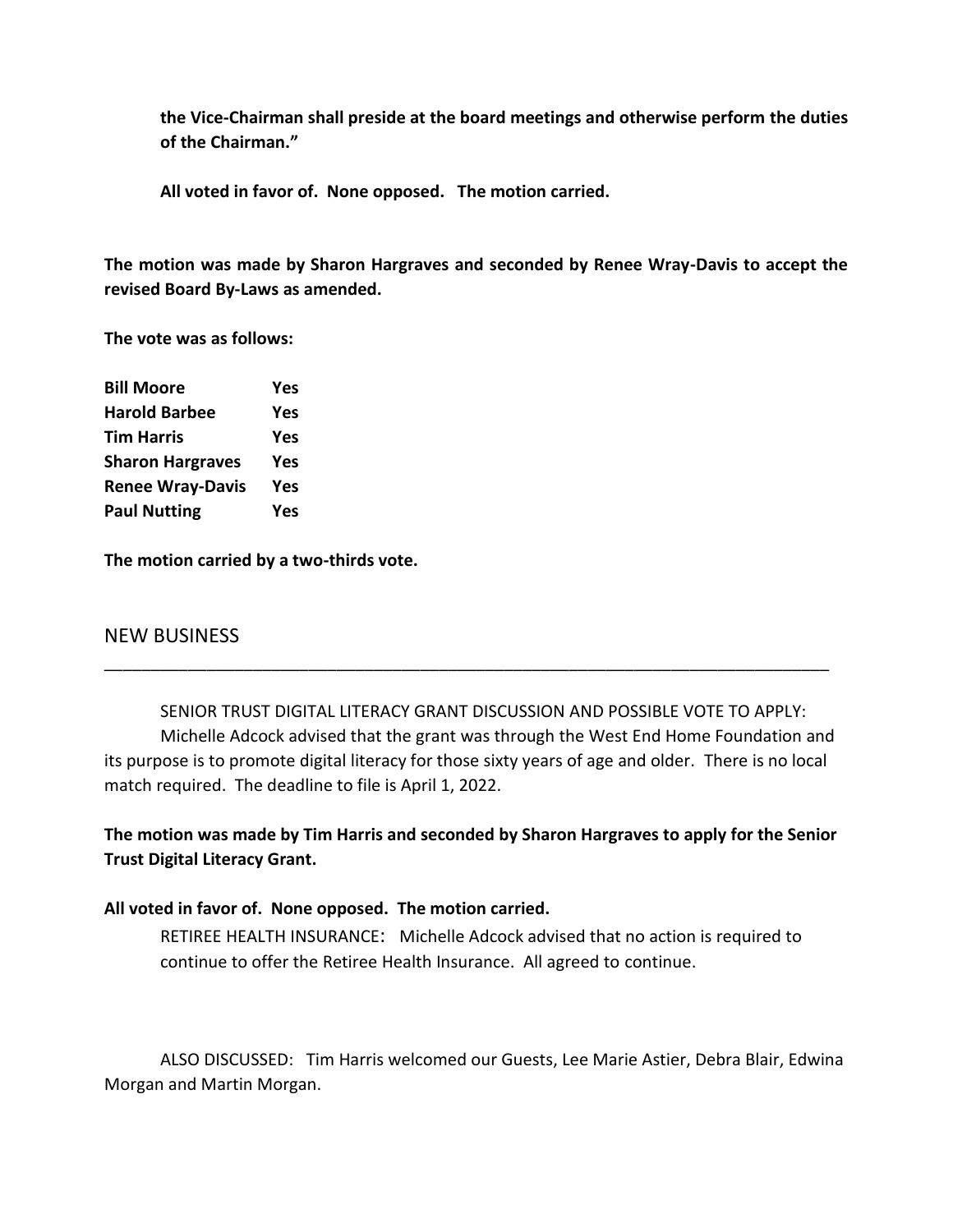**the Vice-Chairman shall preside at the board meetings and otherwise perform the duties of the Chairman."**

**All voted in favor of. None opposed. The motion carried.**

**The motion was made by Sharon Hargraves and seconded by Renee Wray-Davis to accept the revised Board By-Laws as amended.**

**The vote was as follows:**

| <b>Bill Moore</b>       | Yes |
|-------------------------|-----|
| <b>Harold Barbee</b>    | Yes |
| <b>Tim Harris</b>       | Yes |
| <b>Sharon Hargraves</b> | Yes |
| <b>Renee Wray-Davis</b> | Yes |
| <b>Paul Nutting</b>     | Yes |
|                         |     |

**The motion carried by a two-thirds vote.**

## NEW BUSINESS

SENIOR TRUST DIGITAL LITERACY GRANT DISCUSSION AND POSSIBLE VOTE TO APPLY: Michelle Adcock advised that the grant was through the West End Home Foundation and its purpose is to promote digital literacy for those sixty years of age and older. There is no local match required. The deadline to file is April 1, 2022.

\_\_\_\_\_\_\_\_\_\_\_\_\_\_\_\_\_\_\_\_\_\_\_\_\_\_\_\_\_\_\_\_\_\_\_\_\_\_\_\_\_\_\_\_\_\_\_\_\_\_\_\_\_\_\_\_\_\_\_\_\_\_\_\_\_\_\_\_\_\_\_\_\_\_\_\_\_\_

**The motion was made by Tim Harris and seconded by Sharon Hargraves to apply for the Senior Trust Digital Literacy Grant.**

#### **All voted in favor of. None opposed. The motion carried.**

RETIREE HEALTH INSURANCE: Michelle Adcock advised that no action is required to continue to offer the Retiree Health Insurance. All agreed to continue.

ALSO DISCUSSED: Tim Harris welcomed our Guests, Lee Marie Astier, Debra Blair, Edwina Morgan and Martin Morgan.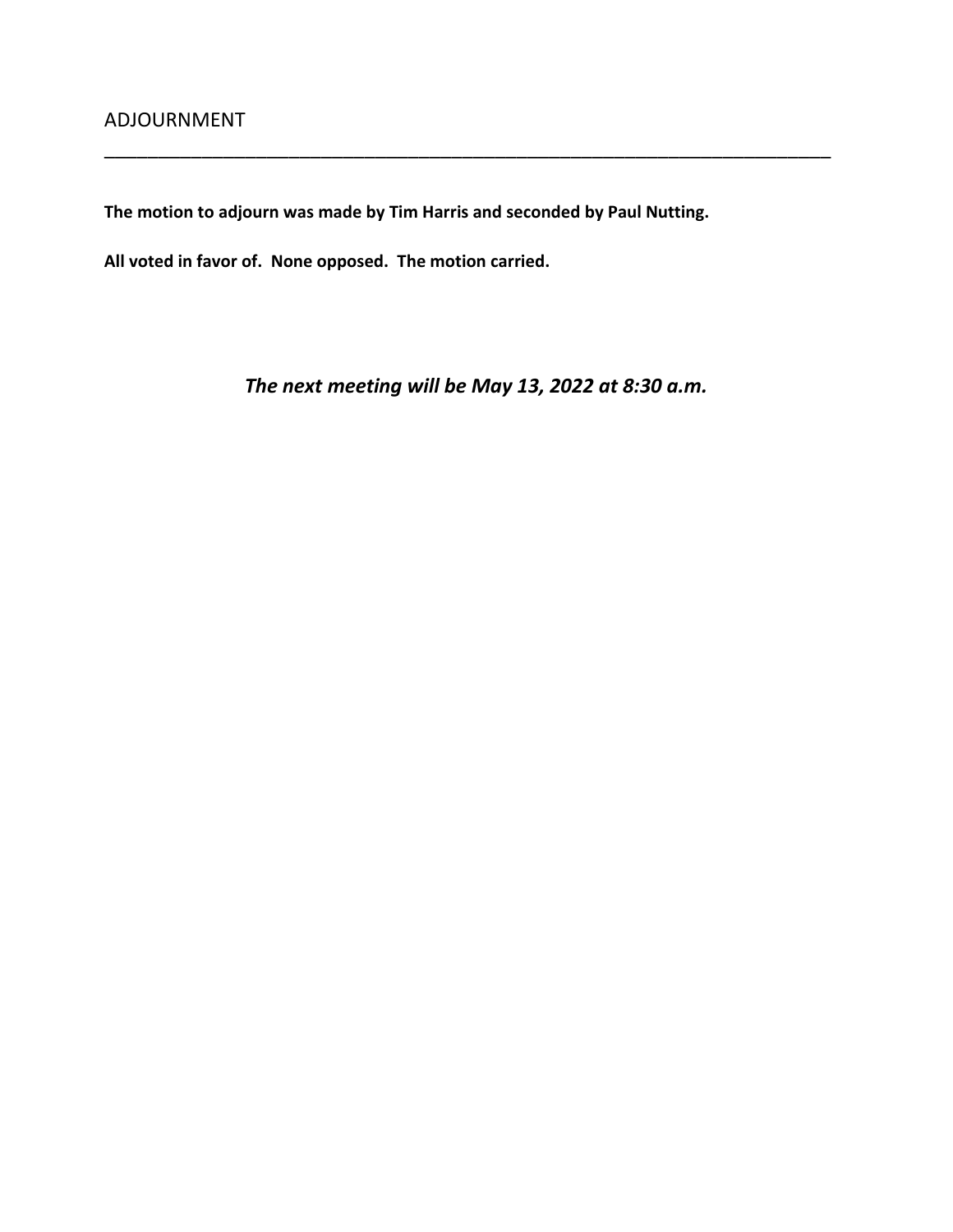**The motion to adjourn was made by Tim Harris and seconded by Paul Nutting.**

**All voted in favor of. None opposed. The motion carried.**

*The next meeting will be May 13, 2022 at 8:30 a.m.*

\_\_\_\_\_\_\_\_\_\_\_\_\_\_\_\_\_\_\_\_\_\_\_\_\_\_\_\_\_\_\_\_\_\_\_\_\_\_\_\_\_\_\_\_\_\_\_\_\_\_\_\_\_\_\_\_\_\_\_\_\_\_\_\_\_\_\_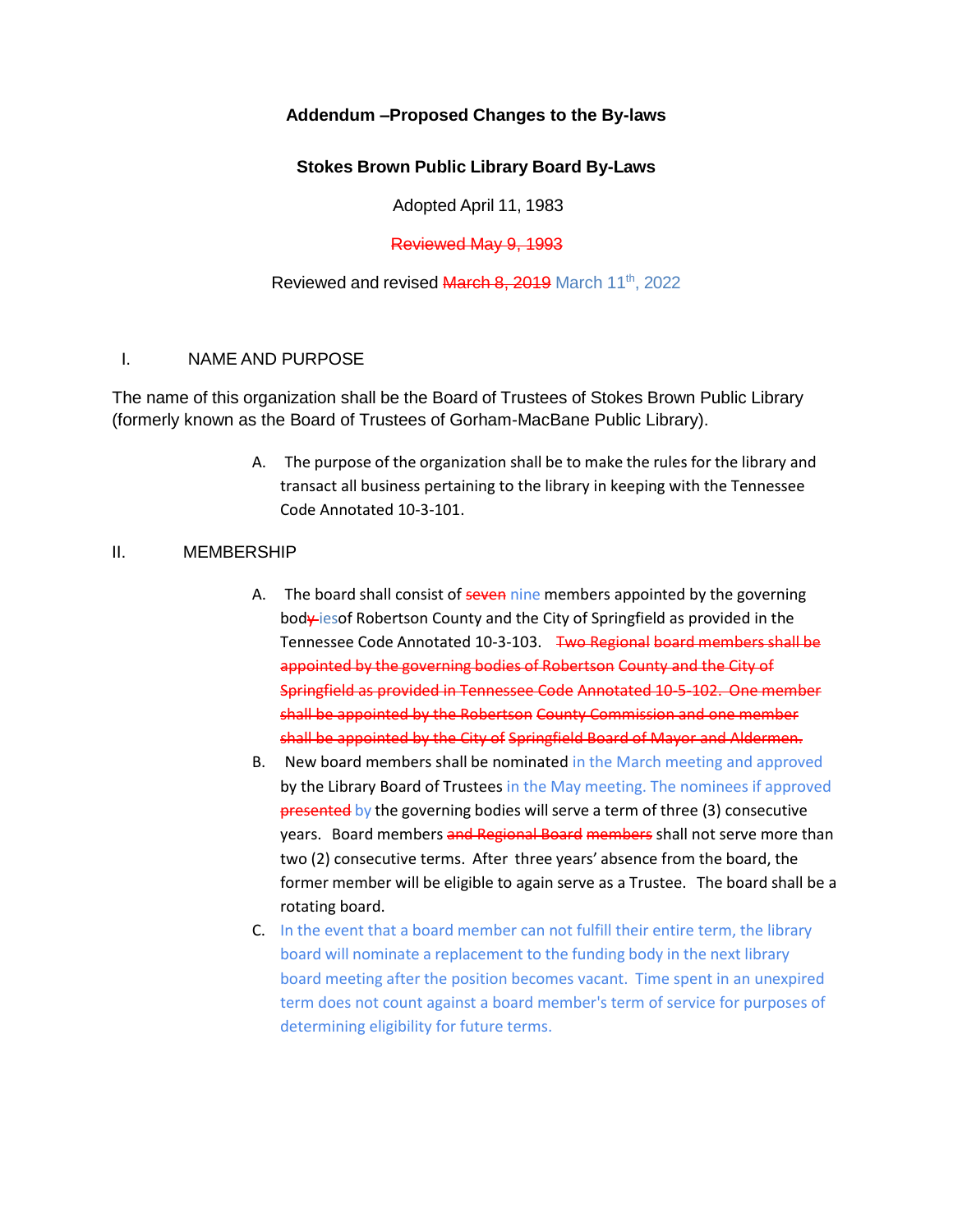## **Addendum –Proposed Changes to the By-laws**

## **Stokes Brown Public Library Board By-Laws**

Adopted April 11, 1983

Reviewed May 9, 1993

#### Reviewed and revised March 8, 2019 March 11<sup>th</sup>, 2022

#### I. NAME AND PURPOSE

The name of this organization shall be the Board of Trustees of Stokes Brown Public Library (formerly known as the Board of Trustees of Gorham-MacBane Public Library).

> A. The purpose of the organization shall be to make the rules for the library and transact all business pertaining to the library in keeping with the Tennessee Code Annotated 10-3-101.

#### II. MEMBERSHIP

- A. The board shall consist of seven nine members appointed by the governing body iesof Robertson County and the City of Springfield as provided in the Tennessee Code Annotated 10-3-103. Two Regional board members shall be appointed by the governing bodies of Robertson County and the City of Springfield as provided in Tennessee Code Annotated 10-5-102. One member shall be appointed by the Robertson County Commission and one member shall be appointed by the City of Springfield Board of Mayor and Aldermen.
- B. New board members shall be nominated in the March meeting and approved by the Library Board of Trustees in the May meeting. The nominees if approved presented by the governing bodies will serve a term of three (3) consecutive years. Board members and Regional Board members shall not serve more than two (2) consecutive terms. After three years' absence from the board, the former member will be eligible to again serve as a Trustee. The board shall be a rotating board.
- C. In the event that a board member can not fulfill their entire term, the library board will nominate a replacement to the funding body in the next library board meeting after the position becomes vacant. Time spent in an unexpired term does not count against a board member's term of service for purposes of determining eligibility for future terms.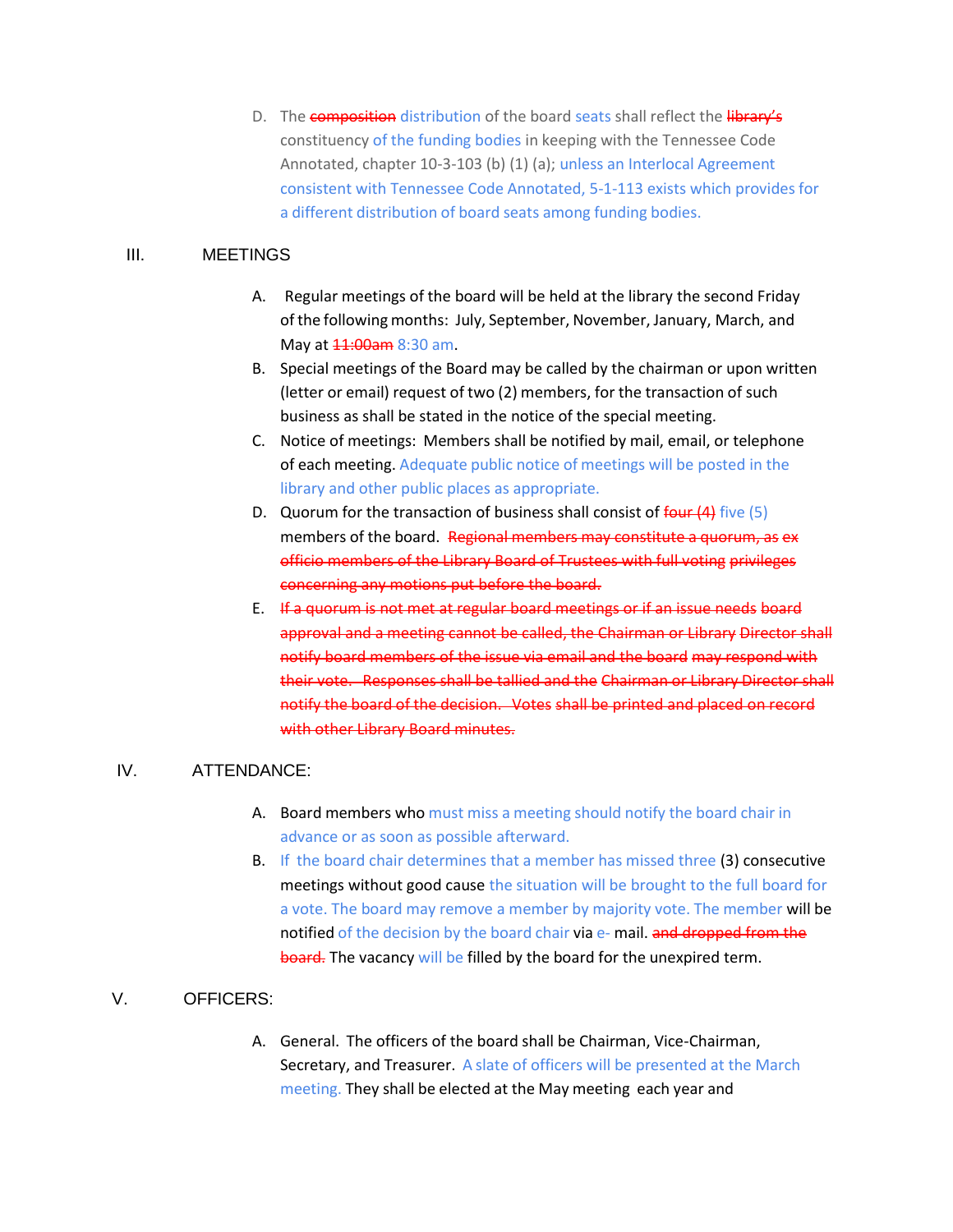D. The **composition** distribution of the board seats shall reflect the **library's** constituency of the funding bodies in keeping with the Tennessee Code Annotated, chapter 10-3-103 (b) (1) (a); unless an Interlocal Agreement consistent with Tennessee Code Annotated, 5-1-113 exists which provides for a different distribution of board seats among funding bodies.

#### III. MEETINGS

- A. Regular meetings of the board will be held at the library the second Friday of the following months: July, September, November, January, March, and May at  $11:00$ am 8:30 am.
- B. Special meetings of the Board may be called by the chairman or upon written (letter or email) request of two (2) members, for the transaction of such business as shall be stated in the notice of the special meeting.
- C. Notice of meetings: Members shall be notified by mail, email, or telephone of each meeting. Adequate public notice of meetings will be posted in the library and other public places as appropriate.
- D. Quorum for the transaction of business shall consist of  $four(4)$  five (5) members of the board. Regional members may constitute a quorum, as ex officio members of the Library Board of Trustees with full voting privileges concerning any motions put before the board.
- E. If a quorum is not met at regular board meetings or if an issue needs board approval and a meeting cannot be called, the Chairman or Library Director shall notify board members of the issue via email and the board may respond with their vote. Responses shall be tallied and the Chairman or Library Director shall notify the board of the decision. Votes shall be printed and placed on record with other Library Board minutes.

## IV. ATTENDANCE:

- A. Board members who must miss a meeting should notify the board chair in advance or as soon as possible afterward.
- B. If the board chair determines that a member has missed three (3) consecutive meetings without good cause the situation will be brought to the full board for a vote. The board may remove a member by majority vote. The member will be notified of the decision by the board chair via e- mail. and dropped from the board. The vacancy will be filled by the board for the unexpired term.

#### V. OFFICERS:

A. General. The officers of the board shall be Chairman, Vice-Chairman, Secretary, and Treasurer. A slate of officers will be presented at the March meeting. They shall be elected at the May meeting each year and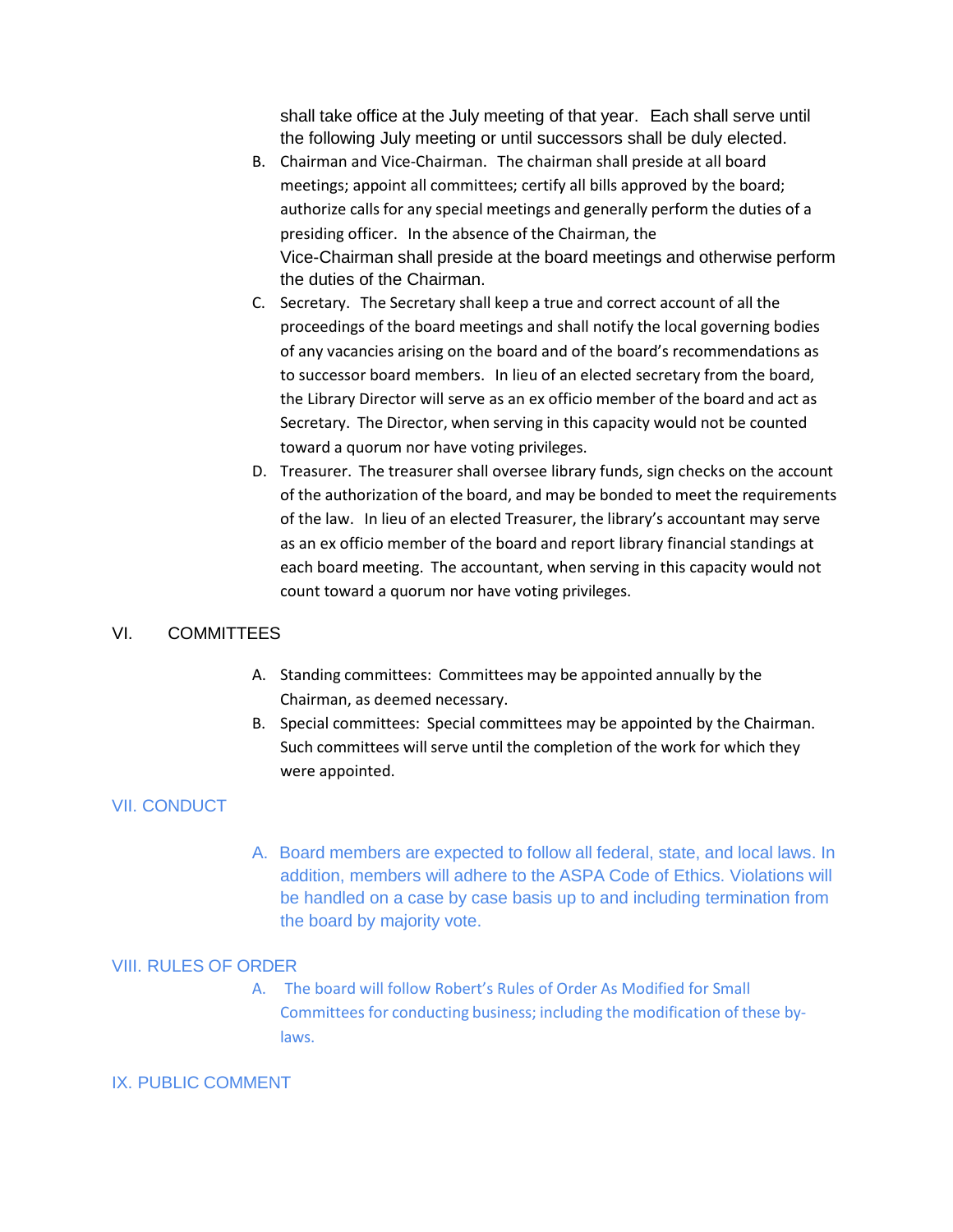shall take office at the July meeting of that year. Each shall serve until the following July meeting or until successors shall be duly elected.

- B. Chairman and Vice-Chairman. The chairman shall preside at all board meetings; appoint all committees; certify all bills approved by the board; authorize calls for any special meetings and generally perform the duties of a presiding officer. In the absence of the Chairman, the Vice-Chairman shall preside at the board meetings and otherwise perform the duties of the Chairman.
- C. Secretary. The Secretary shall keep a true and correct account of all the proceedings of the board meetings and shall notify the local governing bodies of any vacancies arising on the board and of the board's recommendations as to successor board members. In lieu of an elected secretary from the board, the Library Director will serve as an ex officio member of the board and act as Secretary. The Director, when serving in this capacity would not be counted toward a quorum nor have voting privileges.
- D. Treasurer. The treasurer shall oversee library funds, sign checks on the account of the authorization of the board, and may be bonded to meet the requirements of the law. In lieu of an elected Treasurer, the library's accountant may serve as an ex officio member of the board and report library financial standings at each board meeting. The accountant, when serving in this capacity would not count toward a quorum nor have voting privileges.

#### VI. COMMITTEES

- A. Standing committees: Committees may be appointed annually by the Chairman, as deemed necessary.
- B. Special committees: Special committees may be appointed by the Chairman. Such committees will serve until the completion of the work for which they were appointed.

#### VII. CONDUCT

A. Board members are expected to follow all federal, state, and local laws. In addition, members will adhere to the ASPA Code of Ethics. Violations will be handled on a case by case basis up to and including termination from the board by majority vote.

#### VIII. RULES OF ORDER

A. The board will follow Robert's Rules of Order As Modified for Small Committees for conducting business; including the modification of these bylaws.

#### IX. PUBLIC COMMENT